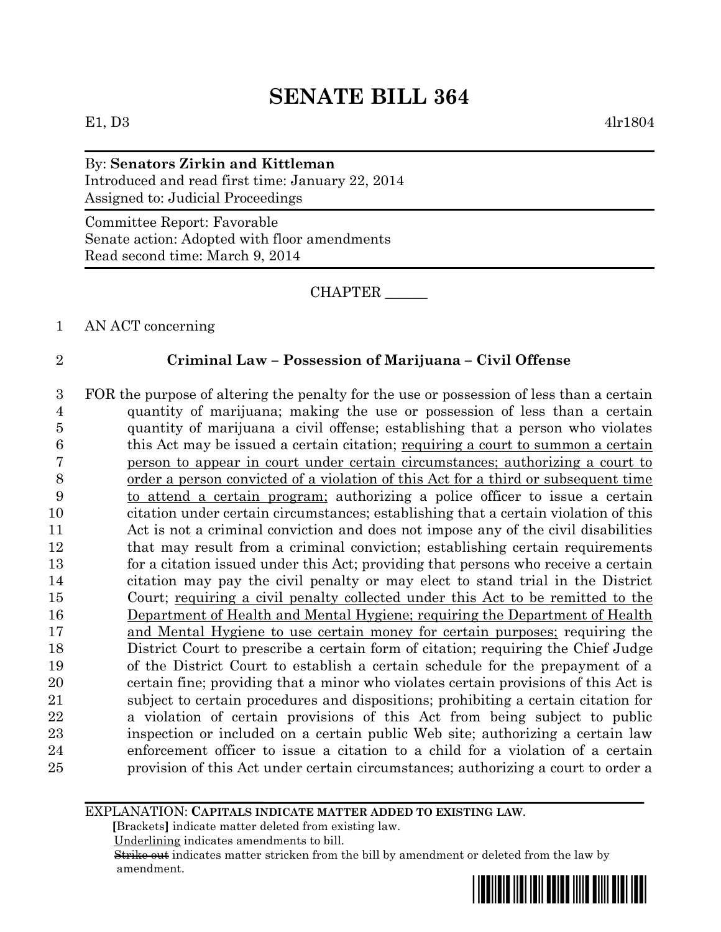E1, D3 4lr1804

# By: **Senators Zirkin and Kittleman** Introduced and read first time: January 22, 2014 Assigned to: Judicial Proceedings

Committee Report: Favorable Senate action: Adopted with floor amendments Read second time: March 9, 2014

CHAPTER

### 1 AN ACT concerning

## 2 **Criminal Law – Possession of Marijuana – Civil Offense**

 FOR the purpose of altering the penalty for the use or possession of less than a certain quantity of marijuana; making the use or possession of less than a certain quantity of marijuana a civil offense; establishing that a person who violates this Act may be issued a certain citation; requiring a court to summon a certain person to appear in court under certain circumstances; authorizing a court to order a person convicted of a violation of this Act for a third or subsequent time to attend a certain program; authorizing a police officer to issue a certain citation under certain circumstances; establishing that a certain violation of this Act is not a criminal conviction and does not impose any of the civil disabilities 12 that may result from a criminal conviction; establishing certain requirements 13 for a citation issued under this Act; providing that persons who receive a certain citation may pay the civil penalty or may elect to stand trial in the District Court; requiring a civil penalty collected under this Act to be remitted to the Department of Health and Mental Hygiene; requiring the Department of Health and Mental Hygiene to use certain money for certain purposes; requiring the District Court to prescribe a certain form of citation; requiring the Chief Judge of the District Court to establish a certain schedule for the prepayment of a certain fine; providing that a minor who violates certain provisions of this Act is subject to certain procedures and dispositions; prohibiting a certain citation for a violation of certain provisions of this Act from being subject to public inspection or included on a certain public Web site; authorizing a certain law enforcement officer to issue a citation to a child for a violation of a certain provision of this Act under certain circumstances; authorizing a court to order a

EXPLANATION: **CAPITALS INDICATE MATTER ADDED TO EXISTING LAW**.

 **[**Brackets**]** indicate matter deleted from existing law.

Underlining indicates amendments to bill.

 Strike out indicates matter stricken from the bill by amendment or deleted from the law by amendment.

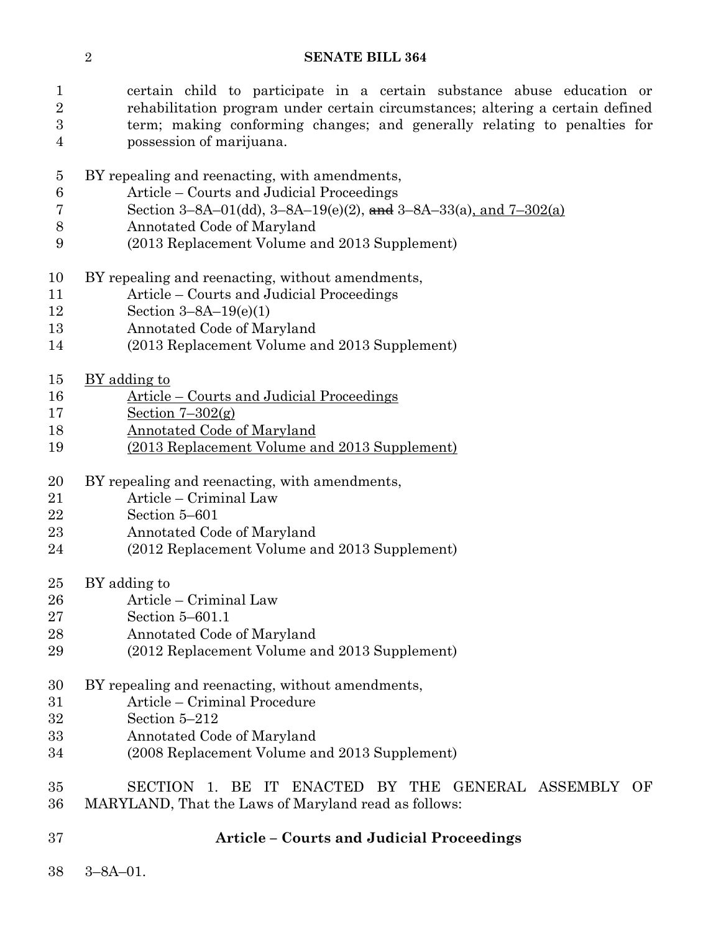| $\mathbf{1}$<br>$\overline{2}$<br>$\boldsymbol{3}$<br>4 | certain child to participate in a certain substance abuse education or<br>rehabilitation program under certain circumstances; altering a certain defined<br>term; making conforming changes; and generally relating to penalties for<br>possession of marijuana. |  |  |  |  |  |
|---------------------------------------------------------|------------------------------------------------------------------------------------------------------------------------------------------------------------------------------------------------------------------------------------------------------------------|--|--|--|--|--|
| $\overline{5}$                                          | BY repealing and reenacting, with amendments,                                                                                                                                                                                                                    |  |  |  |  |  |
| 6                                                       | Article – Courts and Judicial Proceedings                                                                                                                                                                                                                        |  |  |  |  |  |
| 7                                                       | Section 3-8A-01(dd), 3-8A-19(e)(2), and 3-8A-33(a), and $7-302(a)$                                                                                                                                                                                               |  |  |  |  |  |
| 8                                                       | Annotated Code of Maryland                                                                                                                                                                                                                                       |  |  |  |  |  |
| 9                                                       | (2013 Replacement Volume and 2013 Supplement)                                                                                                                                                                                                                    |  |  |  |  |  |
| 10                                                      | BY repealing and reenacting, without amendments,                                                                                                                                                                                                                 |  |  |  |  |  |
| 11                                                      | Article – Courts and Judicial Proceedings                                                                                                                                                                                                                        |  |  |  |  |  |
| 12                                                      | Section $3-8A-19(e)(1)$                                                                                                                                                                                                                                          |  |  |  |  |  |
| 13                                                      | Annotated Code of Maryland                                                                                                                                                                                                                                       |  |  |  |  |  |
| 14                                                      | (2013 Replacement Volume and 2013 Supplement)                                                                                                                                                                                                                    |  |  |  |  |  |
| 15                                                      | <u>BY</u> adding to                                                                                                                                                                                                                                              |  |  |  |  |  |
| 16                                                      | <u><b>Article – Courts and Judicial Proceedings</b></u>                                                                                                                                                                                                          |  |  |  |  |  |
| 17                                                      | Section $7-302(g)$                                                                                                                                                                                                                                               |  |  |  |  |  |
| 18                                                      | <b>Annotated Code of Maryland</b>                                                                                                                                                                                                                                |  |  |  |  |  |
| 19                                                      | (2013 Replacement Volume and 2013 Supplement)                                                                                                                                                                                                                    |  |  |  |  |  |
| 20                                                      | BY repealing and reenacting, with amendments,                                                                                                                                                                                                                    |  |  |  |  |  |
| 21                                                      | Article – Criminal Law                                                                                                                                                                                                                                           |  |  |  |  |  |
| 22                                                      | Section 5-601                                                                                                                                                                                                                                                    |  |  |  |  |  |
| 23                                                      | Annotated Code of Maryland                                                                                                                                                                                                                                       |  |  |  |  |  |
| 24                                                      | (2012 Replacement Volume and 2013 Supplement)                                                                                                                                                                                                                    |  |  |  |  |  |
| 25                                                      | BY adding to                                                                                                                                                                                                                                                     |  |  |  |  |  |
| 26                                                      | Article – Criminal Law                                                                                                                                                                                                                                           |  |  |  |  |  |
| 27                                                      | Section $5-601.1$                                                                                                                                                                                                                                                |  |  |  |  |  |
| 28                                                      | Annotated Code of Maryland                                                                                                                                                                                                                                       |  |  |  |  |  |
| 29                                                      | (2012 Replacement Volume and 2013 Supplement)                                                                                                                                                                                                                    |  |  |  |  |  |
| 30                                                      | BY repealing and reenacting, without amendments,                                                                                                                                                                                                                 |  |  |  |  |  |
| 31                                                      | Article – Criminal Procedure                                                                                                                                                                                                                                     |  |  |  |  |  |
| $32\,$                                                  | Section 5-212                                                                                                                                                                                                                                                    |  |  |  |  |  |
| 33                                                      | Annotated Code of Maryland                                                                                                                                                                                                                                       |  |  |  |  |  |
| 34                                                      | (2008 Replacement Volume and 2013 Supplement)                                                                                                                                                                                                                    |  |  |  |  |  |
| 35                                                      | 1. BE IT<br>ENACTED BY THE GENERAL ASSEMBLY OF<br><b>SECTION</b>                                                                                                                                                                                                 |  |  |  |  |  |
| 36                                                      | MARYLAND, That the Laws of Maryland read as follows:                                                                                                                                                                                                             |  |  |  |  |  |
| 37                                                      | <b>Article - Courts and Judicial Proceedings</b>                                                                                                                                                                                                                 |  |  |  |  |  |
|                                                         |                                                                                                                                                                                                                                                                  |  |  |  |  |  |

3–8A–01.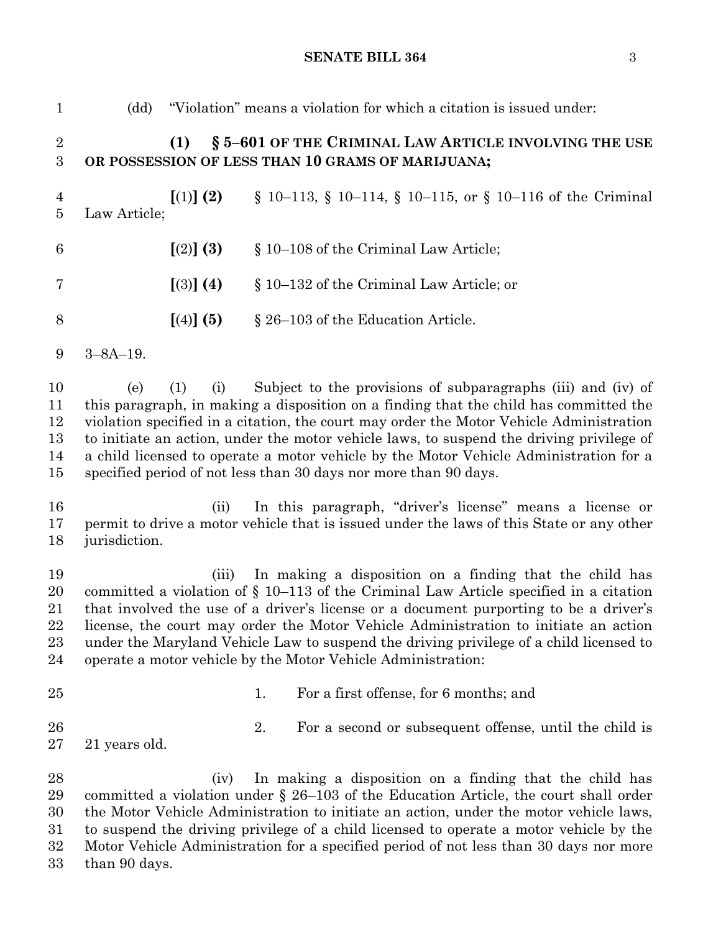**(1) § 5–601 OF THE CRIMINAL LAW ARTICLE INVOLVING THE USE OR POSSESSION OF LESS THAN 10 GRAMS OF MARIJUANA; [**(1)**] (2)** § 10–113, § 10–114, § 10–115, or § 10–116 of the Criminal Law Article; **[**(2)**] (3)** § 10–108 of the Criminal Law Article; **[**(3)**] (4)** § 10–132 of the Criminal Law Article; or **[**(4)**] (5)** § 26–103 of the Education Article. 3–8A–19. (e) (1) (i) Subject to the provisions of subparagraphs (iii) and (iv) of this paragraph, in making a disposition on a finding that the child has committed the violation specified in a citation, the court may order the Motor Vehicle Administration to initiate an action, under the motor vehicle laws, to suspend the driving privilege of a child licensed to operate a motor vehicle by the Motor Vehicle Administration for a specified period of not less than 30 days nor more than 90 days. (ii) In this paragraph, "driver's license" means a license or permit to drive a motor vehicle that is issued under the laws of this State or any other jurisdiction. (iii) In making a disposition on a finding that the child has committed a violation of § 10–113 of the Criminal Law Article specified in a citation that involved the use of a driver's license or a document purporting to be a driver's license, the court may order the Motor Vehicle Administration to initiate an action under the Maryland Vehicle Law to suspend the driving privilege of a child licensed to operate a motor vehicle by the Motor Vehicle Administration: 1. For a first offense, for 6 months; and 26 2. For a second or subsequent offense, until the child is 21 years old. (iv) In making a disposition on a finding that the child has committed a violation under § 26–103 of the Education Article, the court shall order the Motor Vehicle Administration to initiate an action, under the motor vehicle laws,

- to suspend the driving privilege of a child licensed to operate a motor vehicle by the Motor Vehicle Administration for a specified period of not less than 30 days nor more
- than 90 days.

### **SENATE BILL 364** 3

(dd) "Violation" means a violation for which a citation is issued under: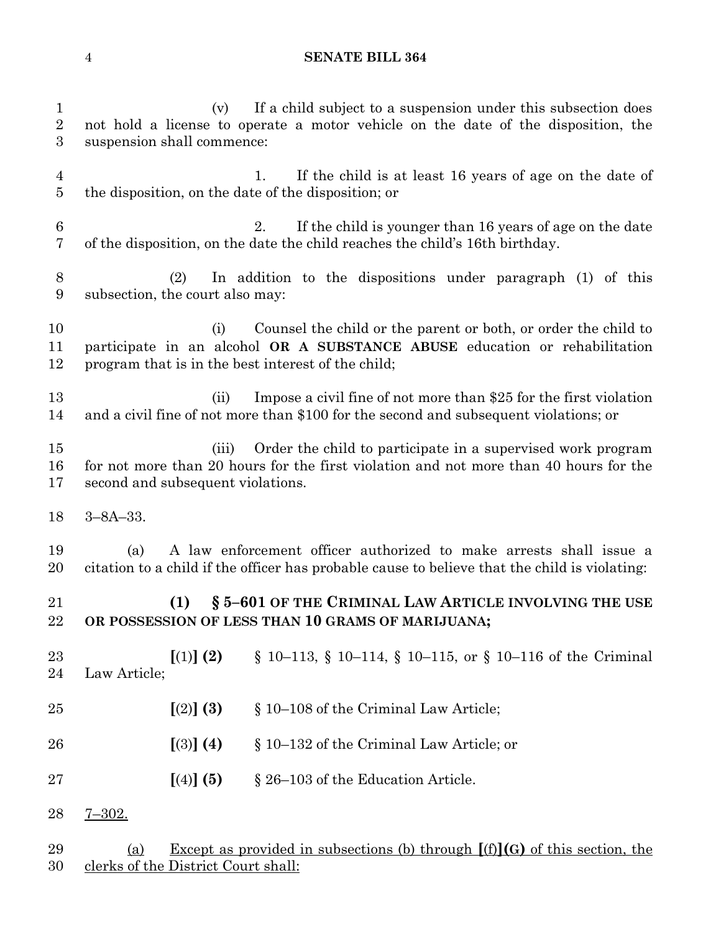1 (v) If a child subject to a suspension under this subsection does not hold a license to operate a motor vehicle on the date of the disposition, the suspension shall commence: 1. If the child is at least 16 years of age on the date of the disposition, on the date of the disposition; or 2. If the child is younger than 16 years of age on the date of the disposition, on the date the child reaches the child's 16th birthday. (2) In addition to the dispositions under paragraph (1) of this subsection, the court also may: (i) Counsel the child or the parent or both, or order the child to participate in an alcohol **OR A SUBSTANCE ABUSE** education or rehabilitation program that is in the best interest of the child; (ii) Impose a civil fine of not more than \$25 for the first violation and a civil fine of not more than \$100 for the second and subsequent violations; or (iii) Order the child to participate in a supervised work program for not more than 20 hours for the first violation and not more than 40 hours for the second and subsequent violations. 3–8A–33. (a) A law enforcement officer authorized to make arrests shall issue a citation to a child if the officer has probable cause to believe that the child is violating: **(1) § 5–601 OF THE CRIMINAL LAW ARTICLE INVOLVING THE USE OR POSSESSION OF LESS THAN 10 GRAMS OF MARIJUANA; [**(1)**] (2)** § 10–113, § 10–114, § 10–115, or § 10–116 of the Criminal Law Article; **[**(2)**] (3)** § 10–108 of the Criminal Law Article; **[**(3)**] (4)** § 10–132 of the Criminal Law Article; or **[**(4)**] (5)** § 26–103 of the Education Article. 7–302. (a) Except as provided in subsections (b) through **[**(f)**](G)** of this section, the clerks of the District Court shall: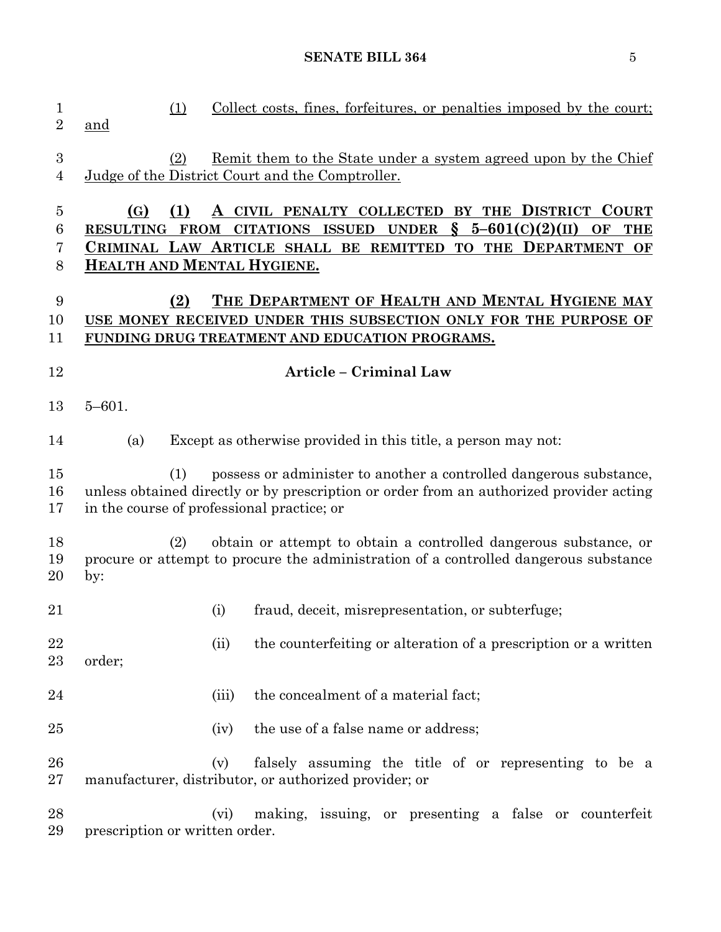| 1<br>$\overline{2}$                | Collect costs, fines, forfeitures, or penalties imposed by the court;<br>(1)<br><u>and</u>                                                                                                                                                                             |  |  |  |  |  |
|------------------------------------|------------------------------------------------------------------------------------------------------------------------------------------------------------------------------------------------------------------------------------------------------------------------|--|--|--|--|--|
| $\boldsymbol{3}$<br>$\overline{4}$ | <u>Remit them to the State under a system agreed upon by the Chief</u><br>(2)<br>Judge of the District Court and the Comptroller.                                                                                                                                      |  |  |  |  |  |
| 5<br>$\,6$<br>7<br>$8\,$           | (1)<br>CIVIL PENALTY COLLECTED BY THE DISTRICT COURT<br>(G)<br>§.<br><b>CITATIONS ISSUED</b><br>$5 - 601(C)(2)(II)$<br>RESULTING FROM<br><b>UNDER</b><br>OF<br><b>THE</b><br>CRIMINAL LAW ARTICLE SHALL BE REMITTED TO THE DEPARTMENT OF<br>HEALTH AND MENTAL HYGIENE. |  |  |  |  |  |
| 9<br>10<br>11                      | (2)<br>THE DEPARTMENT OF HEALTH AND MENTAL HYGIENE MAY<br>USE MONEY RECEIVED UNDER THIS SUBSECTION ONLY FOR THE PURPOSE OF<br>FUNDING DRUG TREATMENT AND EDUCATION PROGRAMS.                                                                                           |  |  |  |  |  |
| 12                                 | Article - Criminal Law                                                                                                                                                                                                                                                 |  |  |  |  |  |
| 13                                 | $5 - 601$ .                                                                                                                                                                                                                                                            |  |  |  |  |  |
| 14                                 | Except as otherwise provided in this title, a person may not:<br>(a)                                                                                                                                                                                                   |  |  |  |  |  |
| 15<br>16<br>17                     | possess or administer to another a controlled dangerous substance,<br>(1)<br>unless obtained directly or by prescription or order from an authorized provider acting<br>in the course of professional practice; or                                                     |  |  |  |  |  |
| 18<br>19<br>20                     | obtain or attempt to obtain a controlled dangerous substance, or<br>(2)<br>procure or attempt to procure the administration of a controlled dangerous substance<br>by:                                                                                                 |  |  |  |  |  |
| 21                                 | fraud, deceit, misrepresentation, or subterfuge;<br>(i)                                                                                                                                                                                                                |  |  |  |  |  |
| 22<br>23                           | the counterfeiting or alteration of a prescription or a written<br>(ii)<br>order;                                                                                                                                                                                      |  |  |  |  |  |
| 24                                 | the concealment of a material fact;<br>(iii)                                                                                                                                                                                                                           |  |  |  |  |  |
| 25                                 | the use of a false name or address;<br>(iv)                                                                                                                                                                                                                            |  |  |  |  |  |
| 26<br>27                           | falsely assuming the title of or representing to be a<br>(v)<br>manufacturer, distributor, or authorized provider; or                                                                                                                                                  |  |  |  |  |  |
| 28<br>29                           | making, issuing, or presenting a false or counterfeit<br>(vi)<br>prescription or written order.                                                                                                                                                                        |  |  |  |  |  |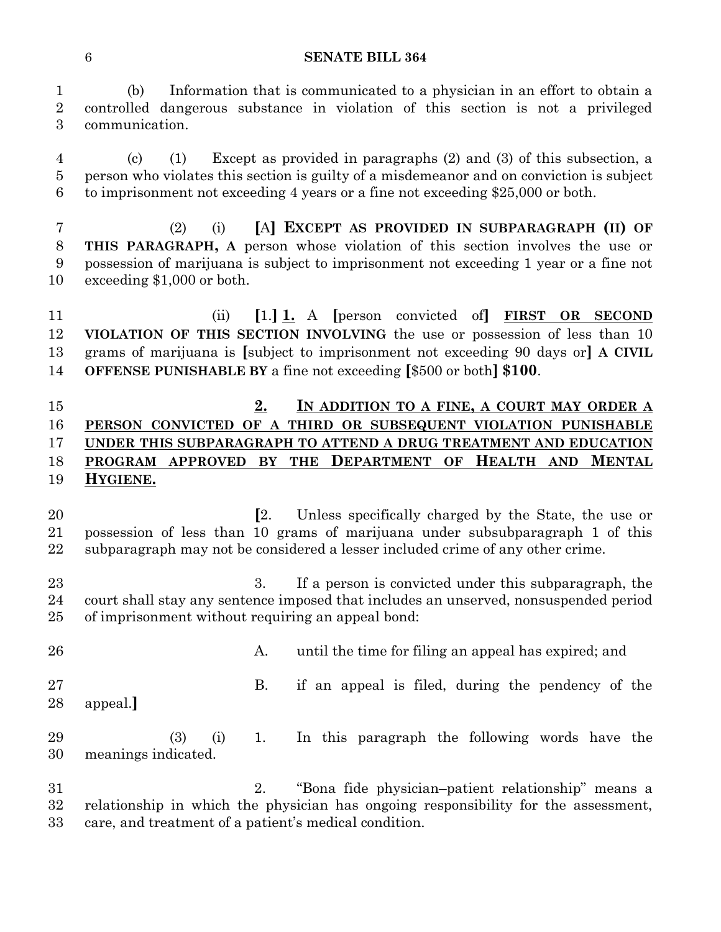(b) Information that is communicated to a physician in an effort to obtain a controlled dangerous substance in violation of this section is not a privileged communication.

 (c) (1) Except as provided in paragraphs (2) and (3) of this subsection, a person who violates this section is guilty of a misdemeanor and on conviction is subject to imprisonment not exceeding 4 years or a fine not exceeding \$25,000 or both.

 (2) (i) **[**A**] EXCEPT AS PROVIDED IN SUBPARAGRAPH (II) OF THIS PARAGRAPH, A** person whose violation of this section involves the use or possession of marijuana is subject to imprisonment not exceeding 1 year or a fine not exceeding \$1,000 or both.

 (ii) **[**1.**] 1.** A **[**person convicted of**] FIRST OR SECOND VIOLATION OF THIS SECTION INVOLVING** the use or possession of less than 10 grams of marijuana is **[**subject to imprisonment not exceeding 90 days or**] A CIVIL OFFENSE PUNISHABLE BY** a fine not exceeding **[**\$500 or both**] \$100**.

# **2. IN ADDITION TO A FINE, A COURT MAY ORDER A PERSON CONVICTED OF A THIRD OR SUBSEQUENT VIOLATION PUNISHABLE UNDER THIS SUBPARAGRAPH TO ATTEND A DRUG TREATMENT AND EDUCATION PROGRAM APPROVED BY THE DEPARTMENT OF HEALTH AND MENTAL HYGIENE.**

 **[**2. Unless specifically charged by the State, the use or possession of less than 10 grams of marijuana under subsubparagraph 1 of this subparagraph may not be considered a lesser included crime of any other crime.

23 3. If a person is convicted under this subparagraph, the court shall stay any sentence imposed that includes an unserved, nonsuspended period of imprisonment without requiring an appeal bond:

26 A. until the time for filing an appeal has expired; and B. if an appeal is filed, during the pendency of the appeal.**]** (3) (i) 1. In this paragraph the following words have the meanings indicated. 2. "Bona fide physician–patient relationship" means a

 relationship in which the physician has ongoing responsibility for the assessment, care, and treatment of a patient's medical condition.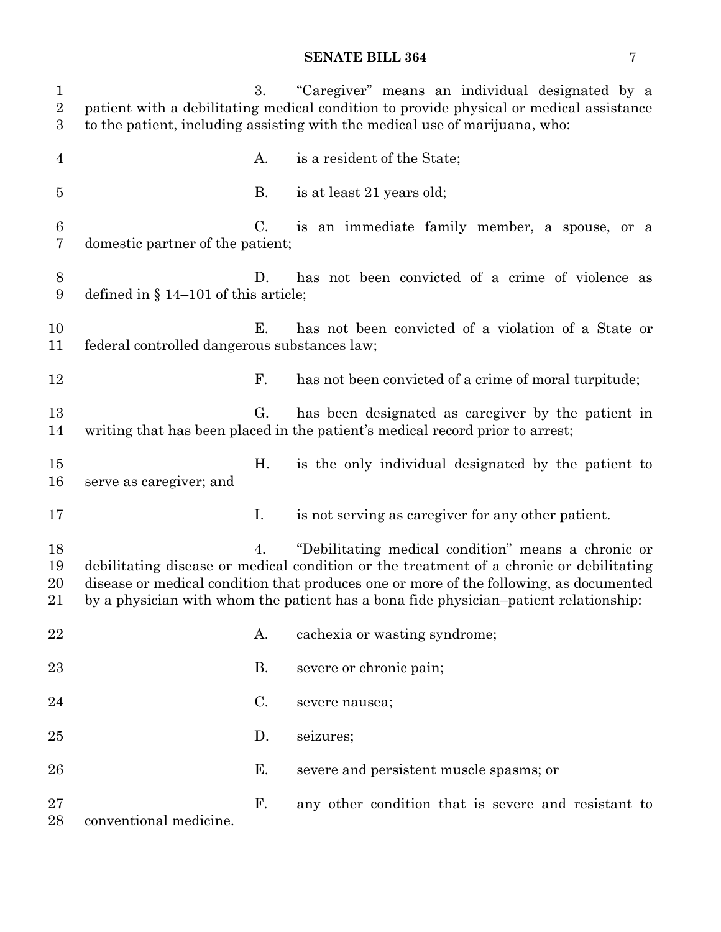| $\mathbf{1}$<br>$\overline{2}$<br>$\boldsymbol{3}$ |                                              | 3.        | "Caregiver" means an individual designated by a<br>patient with a debilitating medical condition to provide physical or medical assistance<br>to the patient, including assisting with the medical use of marijuana, who:                                                                                                        |
|----------------------------------------------------|----------------------------------------------|-----------|----------------------------------------------------------------------------------------------------------------------------------------------------------------------------------------------------------------------------------------------------------------------------------------------------------------------------------|
| 4                                                  |                                              | A.        | is a resident of the State;                                                                                                                                                                                                                                                                                                      |
| $\overline{5}$                                     |                                              | В.        | is at least 21 years old;                                                                                                                                                                                                                                                                                                        |
| 6<br>$\overline{7}$                                | domestic partner of the patient;             | C.        | is an immediate family member, a spouse, or a                                                                                                                                                                                                                                                                                    |
| 8<br>9                                             | defined in $\S$ 14–101 of this article;      | D.        | has not been convicted of a crime of violence as                                                                                                                                                                                                                                                                                 |
| 10<br>11                                           | federal controlled dangerous substances law; | Е.        | has not been convicted of a violation of a State or                                                                                                                                                                                                                                                                              |
| 12                                                 |                                              | F.        | has not been convicted of a crime of moral turpitude;                                                                                                                                                                                                                                                                            |
| 13<br>14                                           |                                              | G.        | has been designated as caregiver by the patient in<br>writing that has been placed in the patient's medical record prior to arrest;                                                                                                                                                                                              |
| 15<br>16                                           | serve as caregiver; and                      | Η.        | is the only individual designated by the patient to                                                                                                                                                                                                                                                                              |
| 17                                                 |                                              | Ι.        | is not serving as caregiver for any other patient.                                                                                                                                                                                                                                                                               |
| 18<br>19<br>20<br>$21\,$                           |                                              | 4.        | "Debilitating medical condition" means a chronic or<br>debilitating disease or medical condition or the treatment of a chronic or debilitating<br>disease or medical condition that produces one or more of the following, as documented<br>by a physician with whom the patient has a bona fide physician–patient relationship: |
| 22                                                 |                                              | A.        | cachexia or wasting syndrome;                                                                                                                                                                                                                                                                                                    |
| 23                                                 |                                              | <b>B.</b> | severe or chronic pain;                                                                                                                                                                                                                                                                                                          |
| 24                                                 |                                              | C.        | severe nausea;                                                                                                                                                                                                                                                                                                                   |
| 25                                                 |                                              | D.        | seizures;                                                                                                                                                                                                                                                                                                                        |
| 26                                                 |                                              | Е.        | severe and persistent muscle spasms; or                                                                                                                                                                                                                                                                                          |
| 27<br>28                                           | conventional medicine.                       | F.        | any other condition that is severe and resistant to                                                                                                                                                                                                                                                                              |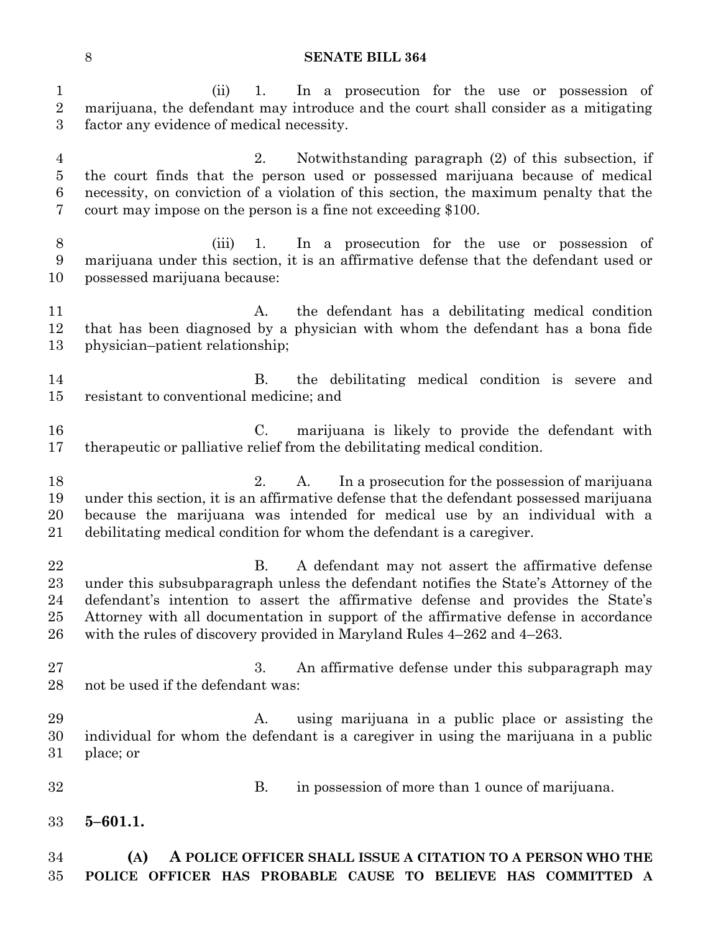(ii) 1. In a prosecution for the use or possession of marijuana, the defendant may introduce and the court shall consider as a mitigating factor any evidence of medical necessity.

 2. Notwithstanding paragraph (2) of this subsection, if the court finds that the person used or possessed marijuana because of medical necessity, on conviction of a violation of this section, the maximum penalty that the court may impose on the person is a fine not exceeding \$100.

 (iii) 1. In a prosecution for the use or possession of marijuana under this section, it is an affirmative defense that the defendant used or possessed marijuana because:

11 A. the defendant has a debilitating medical condition that has been diagnosed by a physician with whom the defendant has a bona fide physician–patient relationship;

 B. the debilitating medical condition is severe and resistant to conventional medicine; and

 C. marijuana is likely to provide the defendant with therapeutic or palliative relief from the debilitating medical condition.

- 2. A. In a prosecution for the possession of marijuana under this section, it is an affirmative defense that the defendant possessed marijuana because the marijuana was intended for medical use by an individual with a debilitating medical condition for whom the defendant is a caregiver.
- B. A defendant may not assert the affirmative defense under this subsubparagraph unless the defendant notifies the State's Attorney of the defendant's intention to assert the affirmative defense and provides the State's Attorney with all documentation in support of the affirmative defense in accordance with the rules of discovery provided in Maryland Rules 4–262 and 4–263.
- 27 3. An affirmative defense under this subparagraph may not be used if the defendant was:
- A. using marijuana in a public place or assisting the individual for whom the defendant is a caregiver in using the marijuana in a public place; or
- B. in possession of more than 1 ounce of marijuana.
- **5–601.1.**

 **(A) A POLICE OFFICER SHALL ISSUE A CITATION TO A PERSON WHO THE POLICE OFFICER HAS PROBABLE CAUSE TO BELIEVE HAS COMMITTED A**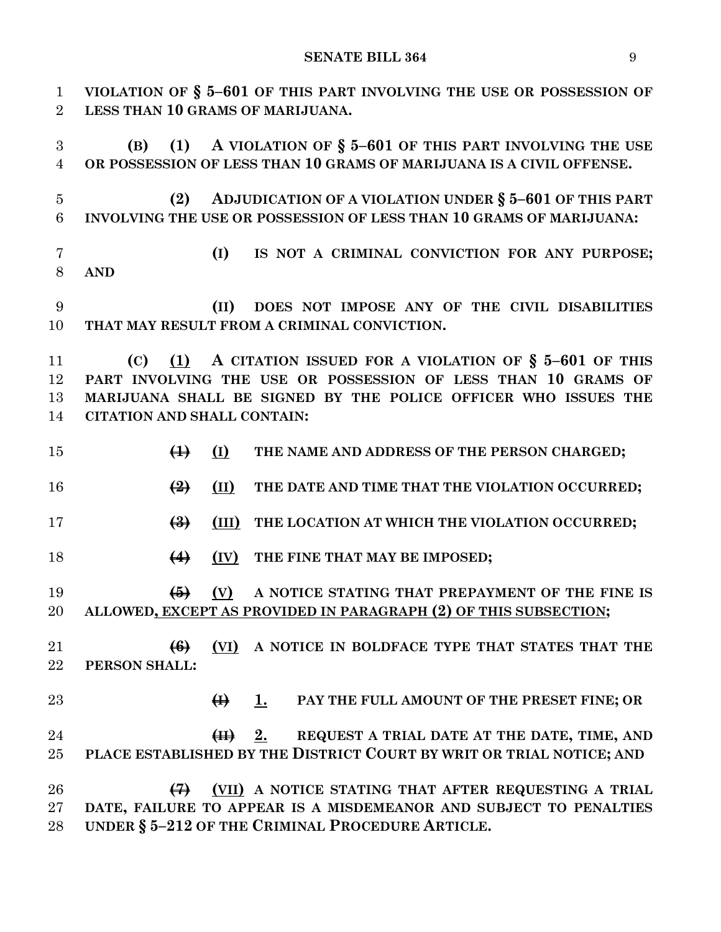**VIOLATION OF § 5–601 OF THIS PART INVOLVING THE USE OR POSSESSION OF LESS THAN 10 GRAMS OF MARIJUANA. (B) (1) A VIOLATION OF § 5–601 OF THIS PART INVOLVING THE USE OR POSSESSION OF LESS THAN 10 GRAMS OF MARIJUANA IS A CIVIL OFFENSE. (2) ADJUDICATION OF A VIOLATION UNDER § 5–601 OF THIS PART INVOLVING THE USE OR POSSESSION OF LESS THAN 10 GRAMS OF MARIJUANA: (I) IS NOT A CRIMINAL CONVICTION FOR ANY PURPOSE; AND (II) DOES NOT IMPOSE ANY OF THE CIVIL DISABILITIES THAT MAY RESULT FROM A CRIMINAL CONVICTION. (C) (1) A CITATION ISSUED FOR A VIOLATION OF § 5–601 OF THIS PART INVOLVING THE USE OR POSSESSION OF LESS THAN 10 GRAMS OF MARIJUANA SHALL BE SIGNED BY THE POLICE OFFICER WHO ISSUES THE CITATION AND SHALL CONTAIN: (1) (I) THE NAME AND ADDRESS OF THE PERSON CHARGED; (2) (II) THE DATE AND TIME THAT THE VIOLATION OCCURRED; (3) (III) THE LOCATION AT WHICH THE VIOLATION OCCURRED; (4) (IV) THE FINE THAT MAY BE IMPOSED; (5) (V) A NOTICE STATING THAT PREPAYMENT OF THE FINE IS ALLOWED, EXCEPT AS PROVIDED IN PARAGRAPH (2) OF THIS SUBSECTION; (6) (VI) A NOTICE IN BOLDFACE TYPE THAT STATES THAT THE PERSON SHALL: (I) 1. PAY THE FULL AMOUNT OF THE PRESET FINE; OR (II) 2. REQUEST A TRIAL DATE AT THE DATE, TIME, AND PLACE ESTABLISHED BY THE DISTRICT COURT BY WRIT OR TRIAL NOTICE; AND (7) (VII) A NOTICE STATING THAT AFTER REQUESTING A TRIAL DATE, FAILURE TO APPEAR IS A MISDEMEANOR AND SUBJECT TO PENALTIES UNDER § 5–212 OF THE CRIMINAL PROCEDURE ARTICLE.**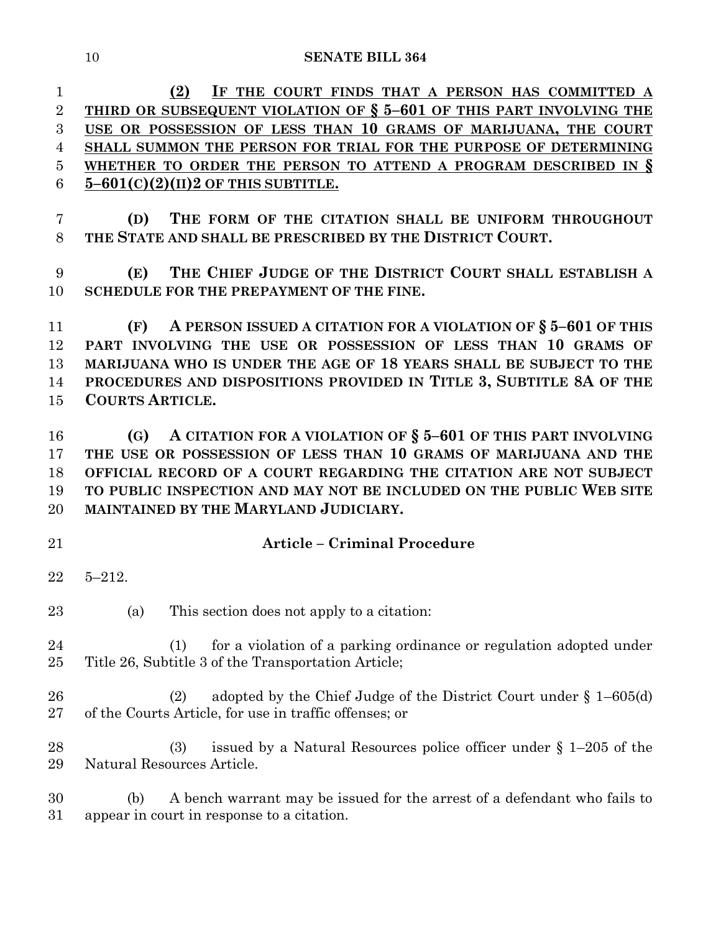**(2) IF THE COURT FINDS THAT A PERSON HAS COMMITTED A THIRD OR SUBSEQUENT VIOLATION OF § 5–601 OF THIS PART INVOLVING THE USE OR POSSESSION OF LESS THAN 10 GRAMS OF MARIJUANA, THE COURT SHALL SUMMON THE PERSON FOR TRIAL FOR THE PURPOSE OF DETERMINING WHETHER TO ORDER THE PERSON TO ATTEND A PROGRAM DESCRIBED IN § 5–601(C)(2)(II)2 OF THIS SUBTITLE.**

 **(D) THE FORM OF THE CITATION SHALL BE UNIFORM THROUGHOUT THE STATE AND SHALL BE PRESCRIBED BY THE DISTRICT COURT.**

 **(E) THE CHIEF JUDGE OF THE DISTRICT COURT SHALL ESTABLISH A SCHEDULE FOR THE PREPAYMENT OF THE FINE.**

 **(F) A PERSON ISSUED A CITATION FOR A VIOLATION OF § 5–601 OF THIS PART INVOLVING THE USE OR POSSESSION OF LESS THAN 10 GRAMS OF MARIJUANA WHO IS UNDER THE AGE OF 18 YEARS SHALL BE SUBJECT TO THE PROCEDURES AND DISPOSITIONS PROVIDED IN TITLE 3, SUBTITLE 8A OF THE COURTS ARTICLE.**

 **(G) A CITATION FOR A VIOLATION OF § 5–601 OF THIS PART INVOLVING THE USE OR POSSESSION OF LESS THAN 10 GRAMS OF MARIJUANA AND THE OFFICIAL RECORD OF A COURT REGARDING THE CITATION ARE NOT SUBJECT TO PUBLIC INSPECTION AND MAY NOT BE INCLUDED ON THE PUBLIC WEB SITE MAINTAINED BY THE MARYLAND JUDICIARY.**

- 
- **Article – Criminal Procedure**
- 5–212.
- (a) This section does not apply to a citation:
- 24 (1) for a violation of a parking ordinance or regulation adopted under Title 26, Subtitle 3 of the Transportation Article;
- (2) adopted by the Chief Judge of the District Court under § 1–605(d) of the Courts Article, for use in traffic offenses; or
- (3) issued by a Natural Resources police officer under § 1–205 of the Natural Resources Article.

 (b) A bench warrant may be issued for the arrest of a defendant who fails to appear in court in response to a citation.